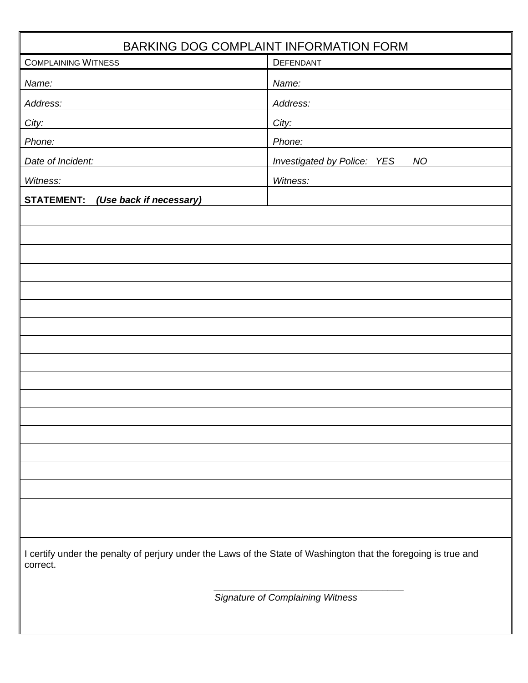| BARKING DOG COMPLAINT INFORMATION FORM                                                                                      |                                                 |  |  |  |
|-----------------------------------------------------------------------------------------------------------------------------|-------------------------------------------------|--|--|--|
| <b>COMPLAINING WITNESS</b>                                                                                                  | DEFENDANT                                       |  |  |  |
| Name:                                                                                                                       | Name:                                           |  |  |  |
| Address:                                                                                                                    | Address:                                        |  |  |  |
| City:                                                                                                                       | City:                                           |  |  |  |
| Phone:                                                                                                                      | Phone:                                          |  |  |  |
| Date of Incident:                                                                                                           | <b>Investigated by Police: YES</b><br><b>NO</b> |  |  |  |
| Witness:                                                                                                                    | Witness:                                        |  |  |  |
| <b>STATEMENT:</b><br>(Use back if necessary)                                                                                |                                                 |  |  |  |
|                                                                                                                             |                                                 |  |  |  |
|                                                                                                                             |                                                 |  |  |  |
|                                                                                                                             |                                                 |  |  |  |
|                                                                                                                             |                                                 |  |  |  |
|                                                                                                                             |                                                 |  |  |  |
|                                                                                                                             |                                                 |  |  |  |
|                                                                                                                             |                                                 |  |  |  |
|                                                                                                                             |                                                 |  |  |  |
|                                                                                                                             |                                                 |  |  |  |
|                                                                                                                             |                                                 |  |  |  |
|                                                                                                                             |                                                 |  |  |  |
|                                                                                                                             |                                                 |  |  |  |
|                                                                                                                             |                                                 |  |  |  |
|                                                                                                                             |                                                 |  |  |  |
|                                                                                                                             |                                                 |  |  |  |
|                                                                                                                             |                                                 |  |  |  |
|                                                                                                                             |                                                 |  |  |  |
| I certify under the penalty of perjury under the Laws of the State of Washington that the foregoing is true and<br>correct. |                                                 |  |  |  |
| <b>Signature of Complaining Witness</b>                                                                                     |                                                 |  |  |  |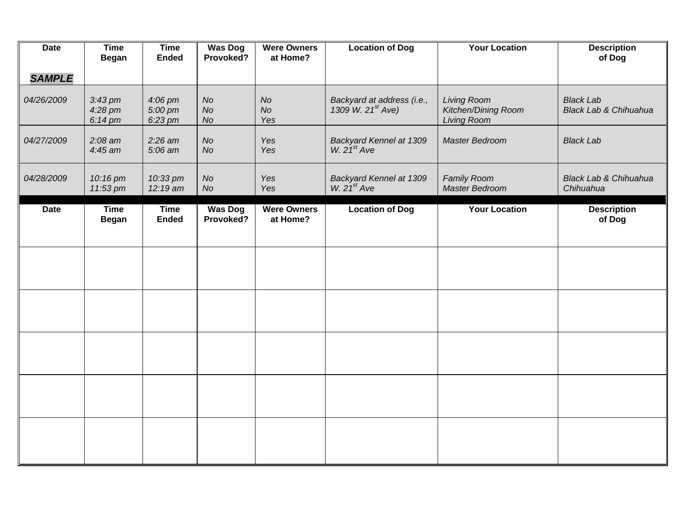| <b>Date</b>   | <b>Time</b><br><b>Began</b>             | <b>Time</b><br><b>Ended</b>   | <b>Was Dog</b><br>Provoked?  | <b>Were Owners</b><br>at Home? | <b>Location of Dog</b>                                      | <b>Your Location</b>                                            | <b>Description</b><br>of Dog              |
|---------------|-----------------------------------------|-------------------------------|------------------------------|--------------------------------|-------------------------------------------------------------|-----------------------------------------------------------------|-------------------------------------------|
| <b>SAMPLE</b> |                                         |                               |                              |                                |                                                             |                                                                 |                                           |
| 04/26/2009    | $3:43 \text{ pm}$<br>4:28 pm<br>6:14 pm | 4:06 pm<br>5:00 pm<br>6:23 pm | <b>No</b><br><b>No</b><br>No | <b>No</b><br><b>No</b><br>Yes  | Backyard at address (i.e.,<br>1309 W. 21 <sup>st</sup> Ave) | <b>Living Room</b><br>Kitchen/Dining Room<br><b>Living Room</b> | <b>Black Lab</b><br>Black Lab & Chihuahua |
| 04/27/2009    | $2:08$ am<br>$4:45$ am                  | $2:26$ am<br>5:06 am          | <b>No</b><br><b>No</b>       | Yes<br>Yes                     | Backyard Kennel at 1309<br>W. $21^{st}$ Ave                 | Master Bedroom                                                  | <b>Black Lab</b>                          |
| 04/28/2009    | 10:16 pm<br>11:53 pm                    | 10:33 pm<br>12:19 am          | No<br>No                     | Yes<br>Yes                     | Backyard Kennel at 1309<br>W. $21^{st}$ Ave                 | <b>Family Room</b><br>Master Bedroom                            | Black Lab & Chihuahua<br>Chihuahua        |
| <b>Date</b>   | Time<br><b>Began</b>                    | <b>Time</b><br><b>Ended</b>   | <b>Was Dog</b><br>Provoked?  | <b>Were Owners</b><br>at Home? | <b>Location of Dog</b>                                      | <b>Your Location</b>                                            | <b>Description</b><br>of Dog              |
|               |                                         |                               |                              |                                |                                                             |                                                                 |                                           |
|               |                                         |                               |                              |                                |                                                             |                                                                 |                                           |
|               |                                         |                               |                              |                                |                                                             |                                                                 |                                           |
|               |                                         |                               |                              |                                |                                                             |                                                                 |                                           |
|               |                                         |                               |                              |                                |                                                             |                                                                 |                                           |